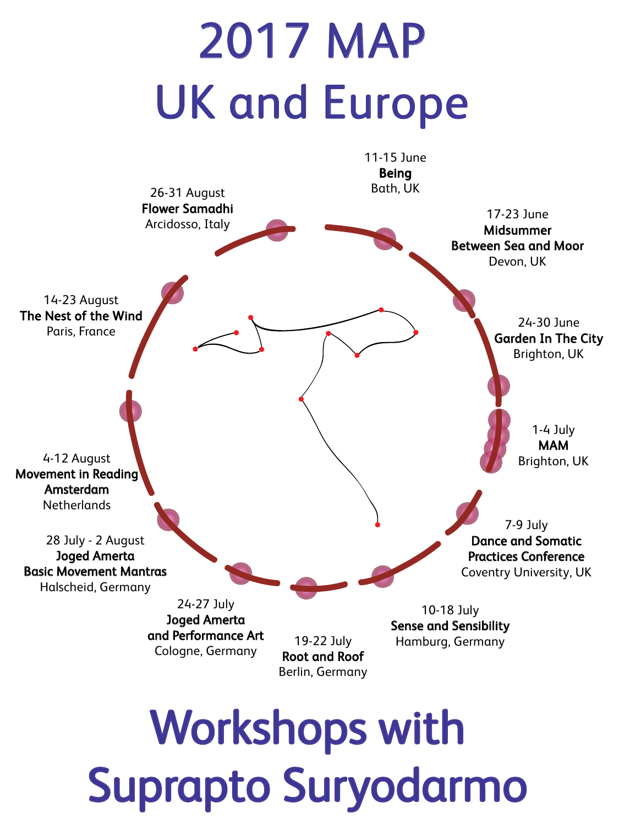# 2017 MAP UK and Europe



Suprapto Suryodarmo